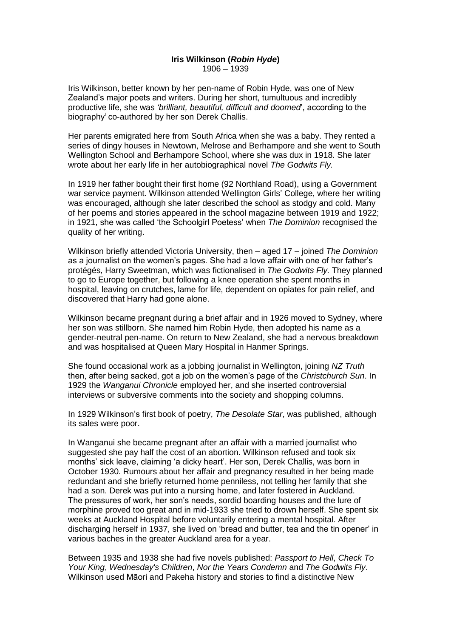## **Iris Wilkinson (***Robin Hyde***)** 1906 – 1939

Iris Wilkinson, better known by her pen-name of Robin Hyde, was one of New Zealand's major poets and writers. During her short, tumultuous and incredibly productive life, she was *'brilliant, beautiful, difficult and doomed*', according to the biography<sup>i</sup> co-authored by her son Derek Challis.

Her parents emigrated here from South Africa when she was a baby. They rented a series of dingy houses in Newtown, Melrose and Berhampore and she went to South Wellington School and Berhampore School, where she was dux in 1918. She later wrote about her early life in her autobiographical novel *The Godwits Fly.* 

In 1919 her father bought their first home (92 Northland Road), using a Government war service payment. Wilkinson attended Wellington Girls' College, where her writing was encouraged, although she later described the school as stodgy and cold. Many of her poems and stories appeared in the school magazine between 1919 and 1922; in 1921, she was called 'the Schoolgirl Poetess' when *The Dominion* recognised the quality of her writing.

Wilkinson briefly attended Victoria University, then – aged 17 – joined *The Dominion*  as a journalist on the women's pages. She had a love affair with one of her father's protégés, Harry Sweetman, which was fictionalised in *The Godwits Fly.* They planned to go to Europe together, but following a knee operation she spent months in hospital, leaving on crutches, lame for life, dependent on opiates for pain relief, and discovered that Harry had gone alone.

Wilkinson became pregnant during a brief affair and in 1926 moved to Sydney, where her son was stillborn. She named him Robin Hyde, then adopted his name as a gender-neutral pen-name. On return to New Zealand, she had a nervous breakdown and was hospitalised at Queen Mary Hospital in Hanmer Springs.

She found occasional work as a jobbing journalist in Wellington, joining *NZ Truth* then, after being sacked, got a job on the women's page of the *Christchurch Sun*. In 1929 the *Wanganui Chronicle* employed her, and she inserted controversial interviews or subversive comments into the society and shopping columns.

In 1929 Wilkinson's first book of poetry, *The Desolate Star*, was published, although its sales were poor.

In Wanganui she became pregnant after an affair with a married journalist who suggested she pay half the cost of an abortion. Wilkinson refused and took six months' sick leave, claiming 'a dicky heart'. Her son, Derek Challis, was born in October 1930. Rumours about her affair and pregnancy resulted in her being made redundant and she briefly returned home penniless, not telling her family that she had a son. Derek was put into a nursing home, and later fostered in Auckland. The pressures of work, her son's needs, sordid boarding houses and the lure of morphine proved too great and in mid-1933 she tried to drown herself. She spent six weeks at Auckland Hospital before voluntarily entering a mental hospital. After discharging herself in 1937, she lived on 'bread and butter, tea and the tin opener' in various baches in the greater Auckland area for a year.

Between 1935 and 1938 she had five novels published: *Passport to Hell*, *Check To Your King*, *Wednesday's Children*, *Nor the Years Condemn* and *The Godwits Fly*. Wilkinson used Māori and Pakeha history and stories to find a distinctive New